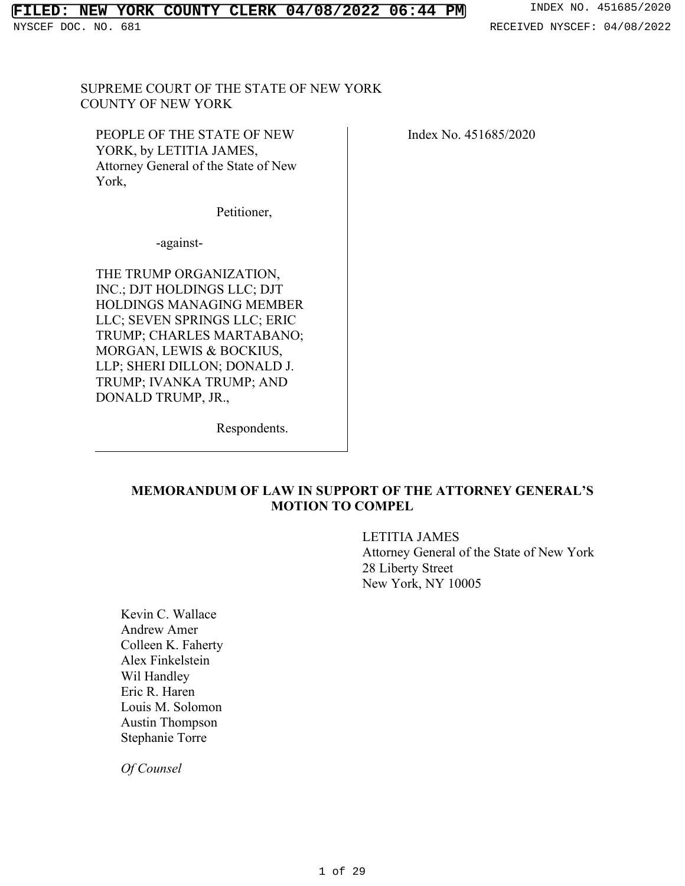| SUPREME COURT OF THE STATE OF NEW YORK |
|----------------------------------------|
| <b>COUNTY OF NEW YORK</b>              |

PEOPLE OF THE STATE OF NEW YORK, by LETITIA JAMES, Attorney General of the State of New York,

Petitioner,

-against-

THE TRUMP ORGANIZATION, INC.; DJT HOLDINGS LLC; DJT HOLDINGS MANAGING MEMBER LLC; SEVEN SPRINGS LLC; ERIC TRUMP; CHARLES MARTABANO; MORGAN, LEWIS & BOCKIUS, LLP; SHERI DILLON; DONALD J. TRUMP; IVANKA TRUMP; AND DONALD TRUMP, JR.,

Respondents.

Index No. 451685/2020

#### **MEMORANDUM OF LAW IN SUPPORT OF THE ATTORNEY GENERAL'S MOTION TO COMPEL**

LETITIA JAMES

Attorney General of the State of New York 28 Liberty Street New York, NY 10005

Kevin C. Wallace Andrew Amer Colleen K. Faherty Alex Finkelstein Wil Handley Eric R. Haren Louis M. Solomon Austin Thompson Stephanie Torre

*Of Counsel*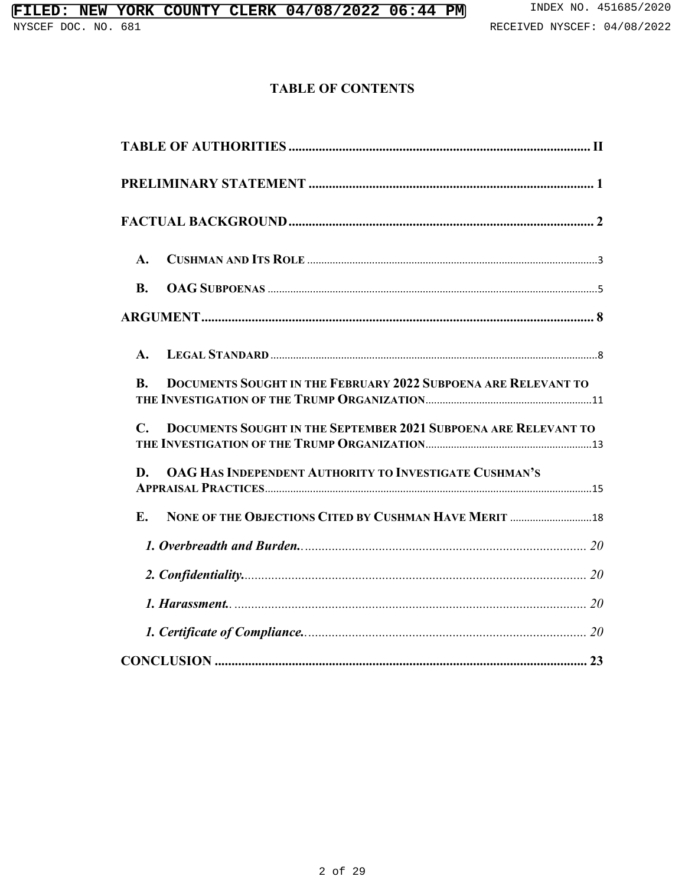# **TABLE OF CONTENTS**

| $\mathbf{A}$ .                                                                           |
|------------------------------------------------------------------------------------------|
| <b>B.</b>                                                                                |
|                                                                                          |
| $\mathbf{A}$ .                                                                           |
| <b>DOCUMENTS SOUGHT IN THE FEBRUARY 2022 SUBPOENA ARE RELEVANT TO</b><br><b>B.</b>       |
| $\mathbf{C}$ .<br><b>DOCUMENTS SOUGHT IN THE SEPTEMBER 2021 SUBPOENA ARE RELEVANT TO</b> |
| OAG HAS INDEPENDENT AUTHORITY TO INVESTIGATE CUSHMAN'S<br>D.                             |
| NONE OF THE OBJECTIONS CITED BY CUSHMAN HAVE MERIT  18<br>E.                             |
|                                                                                          |
|                                                                                          |
|                                                                                          |
|                                                                                          |
|                                                                                          |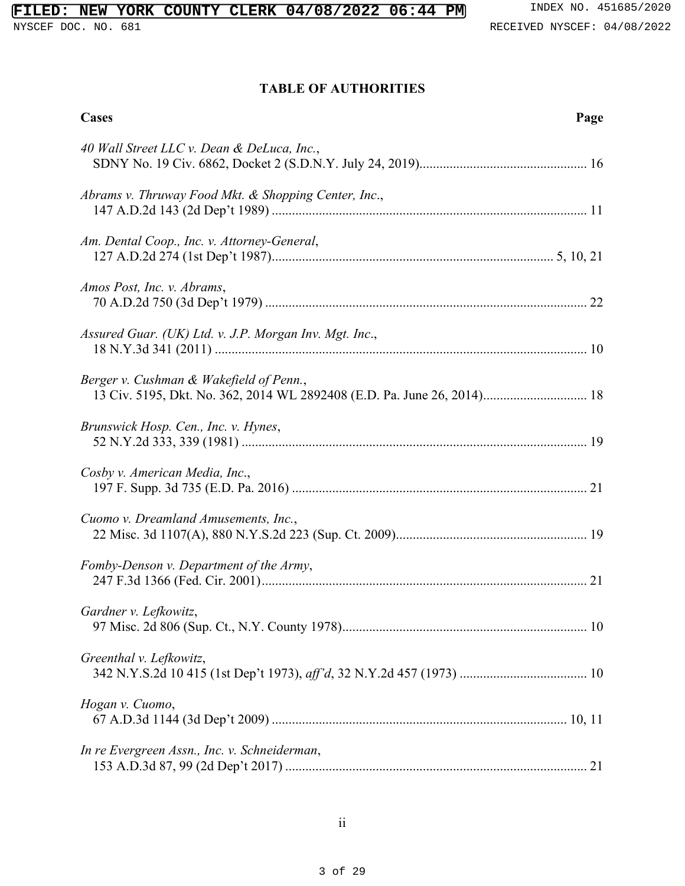# **TABLE OF AUTHORITIES**

| Cases                                                  | Page |
|--------------------------------------------------------|------|
| 40 Wall Street LLC v. Dean & DeLuca, Inc.,             |      |
| Abrams v. Thruway Food Mkt. & Shopping Center, Inc.,   |      |
| Am. Dental Coop., Inc. v. Attorney-General,            |      |
| Amos Post, Inc. v. Abrams,                             |      |
| Assured Guar. (UK) Ltd. v. J.P. Morgan Inv. Mgt. Inc., |      |
| Berger v. Cushman & Wakefield of Penn.,                |      |
| Brunswick Hosp. Cen., Inc. v. Hynes,                   |      |
| Cosby v. American Media, Inc.,                         |      |
| Cuomo v. Dreamland Amusements, Inc.,                   |      |
| Fomby-Denson v. Department of the Army,                |      |
| Gardner v. Lefkowitz,                                  |      |
| Greenthal v. Lefkowitz,                                |      |
| Hogan v. Cuomo,                                        |      |
| In re Evergreen Assn., Inc. v. Schneiderman,           |      |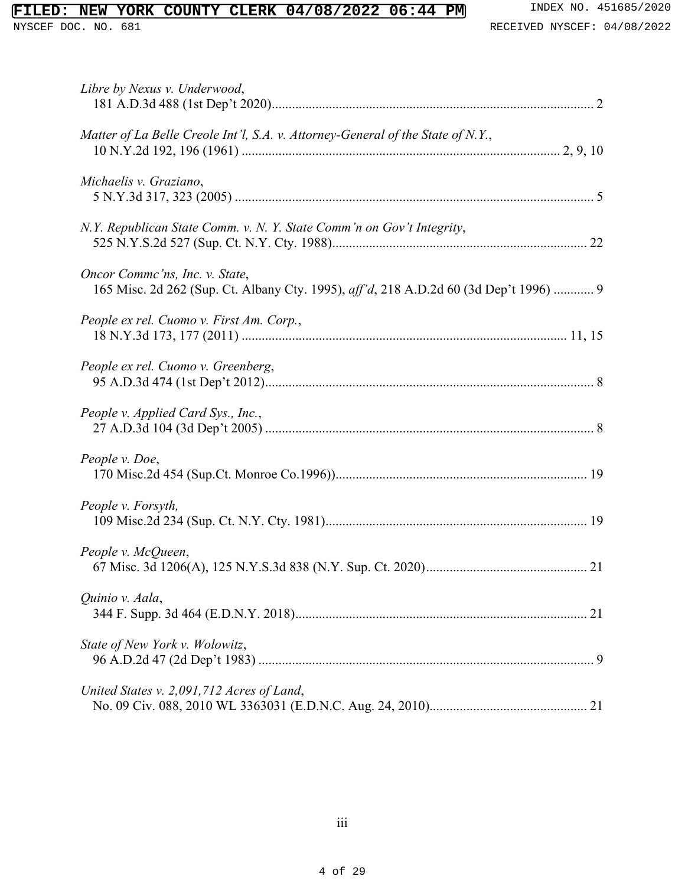# **FILED: NEW YORK COUNTY CLERK 04/08/2022 06:44 PM** INDEX NO. 451685/2020<br>NYSCEF DOC. NO. 681<br>RECEIVED NYSCEF: 04/08/2022

| Libre by Nexus v. Underwood,                                                                                            |
|-------------------------------------------------------------------------------------------------------------------------|
| Matter of La Belle Creole Int'l, S.A. v. Attorney-General of the State of N.Y.,                                         |
| Michaelis v. Graziano,                                                                                                  |
| N.Y. Republican State Comm. v. N. Y. State Comm'n on Gov't Integrity,                                                   |
| Oncor Comme'ns, Inc. v. State,<br>165 Misc. 2d 262 (Sup. Ct. Albany Cty. 1995), aff'd, 218 A.D.2d 60 (3d Dep't 1996)  9 |
| People ex rel. Cuomo v. First Am. Corp.,                                                                                |
| People ex rel. Cuomo v. Greenberg,                                                                                      |
| People v. Applied Card Sys., Inc.,                                                                                      |
| People v. Doe,                                                                                                          |
| People v. Forsyth,                                                                                                      |
| People v. McQueen,                                                                                                      |
| Quinio v. Aala,                                                                                                         |
| State of New York v. Wolowitz,                                                                                          |
| United States v. 2,091,712 Acres of Land,                                                                               |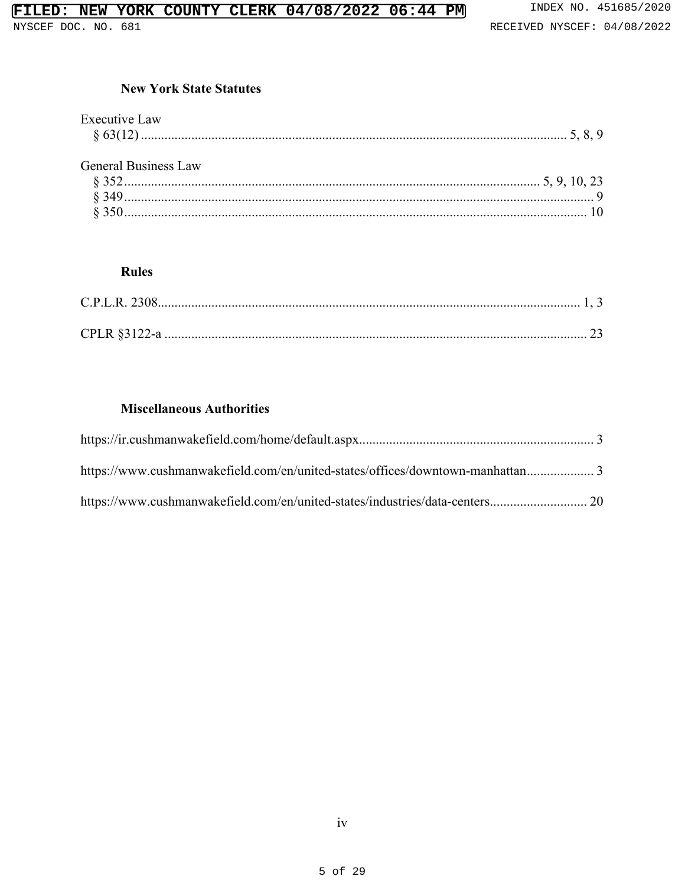NYSCEF DOC. NO. 681

# **New York State Statutes**

| <b>Executive Law</b> |  |
|----------------------|--|
| General Business Law |  |
|                      |  |
|                      |  |
|                      |  |

#### **Rules**

# **Miscellaneous Authorities**

| https://www.cushmanwakefield.com/en/united-states/offices/downtown-manhattan 3 |  |
|--------------------------------------------------------------------------------|--|
|                                                                                |  |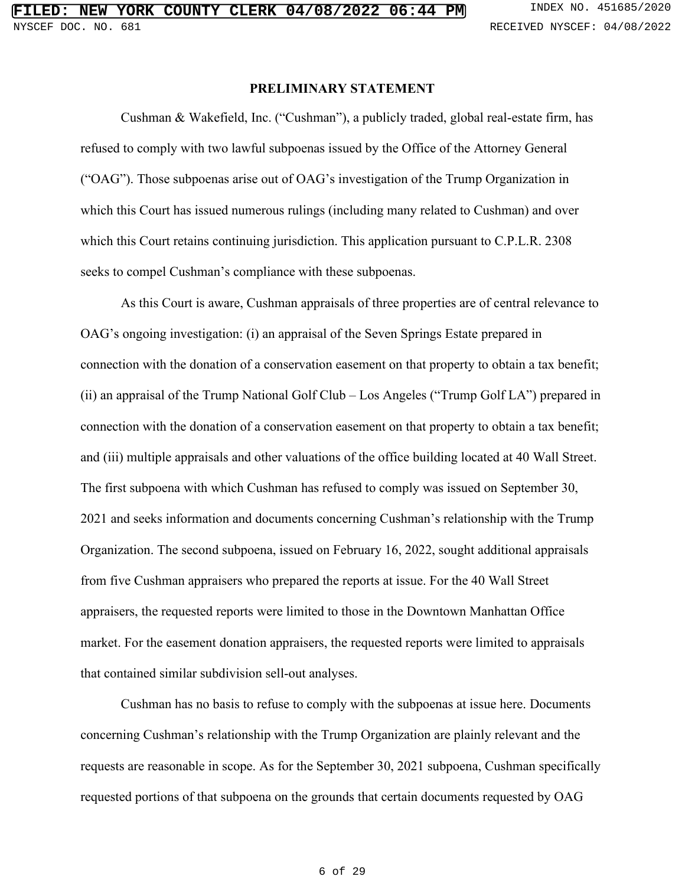#### **PRELIMINARY STATEMENT**

Cushman & Wakefield, Inc. ("Cushman"), a publicly traded, global real-estate firm, has refused to comply with two lawful subpoenas issued by the Office of the Attorney General ("OAG"). Those subpoenas arise out of OAG's investigation of the Trump Organization in which this Court has issued numerous rulings (including many related to Cushman) and over which this Court retains continuing jurisdiction. This application pursuant to C.P.L.R. 2308 seeks to compel Cushman's compliance with these subpoenas.

As this Court is aware, Cushman appraisals of three properties are of central relevance to OAG's ongoing investigation: (i) an appraisal of the Seven Springs Estate prepared in connection with the donation of a conservation easement on that property to obtain a tax benefit; (ii) an appraisal of the Trump National Golf Club – Los Angeles ("Trump Golf LA") prepared in connection with the donation of a conservation easement on that property to obtain a tax benefit; and (iii) multiple appraisals and other valuations of the office building located at 40 Wall Street. The first subpoena with which Cushman has refused to comply was issued on September 30, 2021 and seeks information and documents concerning Cushman's relationship with the Trump Organization. The second subpoena, issued on February 16, 2022, sought additional appraisals from five Cushman appraisers who prepared the reports at issue. For the 40 Wall Street appraisers, the requested reports were limited to those in the Downtown Manhattan Office market. For the easement donation appraisers, the requested reports were limited to appraisals that contained similar subdivision sell-out analyses.

Cushman has no basis to refuse to comply with the subpoenas at issue here. Documents concerning Cushman's relationship with the Trump Organization are plainly relevant and the requests are reasonable in scope. As for the September 30, 2021 subpoena, Cushman specifically requested portions of that subpoena on the grounds that certain documents requested by OAG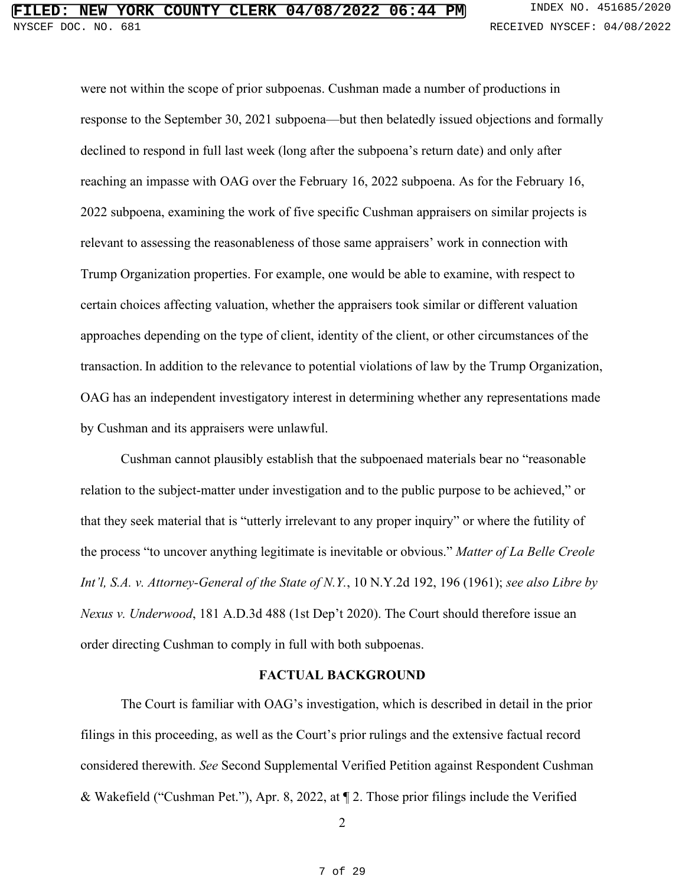# **FIRE COUNTY CLERK 04/08/2022 06:44 PM** INDEX NO. 451685/2020 NYSCEF DOC. NO. 681 RECEIVED NYSCEF: 04/08/2022

were not within the scope of prior subpoenas. Cushman made a number of productions in response to the September 30, 2021 subpoena—but then belatedly issued objections and formally declined to respond in full last week (long after the subpoena's return date) and only after reaching an impasse with OAG over the February 16, 2022 subpoena. As for the February 16, 2022 subpoena, examining the work of five specific Cushman appraisers on similar projects is relevant to assessing the reasonableness of those same appraisers' work in connection with Trump Organization properties. For example, one would be able to examine, with respect to certain choices affecting valuation, whether the appraisers took similar or different valuation approaches depending on the type of client, identity of the client, or other circumstances of the transaction. In addition to the relevance to potential violations of law by the Trump Organization, OAG has an independent investigatory interest in determining whether any representations made by Cushman and its appraisers were unlawful.

Cushman cannot plausibly establish that the subpoenaed materials bear no "reasonable relation to the subject-matter under investigation and to the public purpose to be achieved," or that they seek material that is "utterly irrelevant to any proper inquiry" or where the futility of the process "to uncover anything legitimate is inevitable or obvious." *Matter of La Belle Creole Int'l, S.A. v. Attorney-General of the State of N.Y.*, 10 N.Y.2d 192, 196 (1961); *see also Libre by Nexus v. Underwood*, 181 A.D.3d 488 (1st Dep't 2020). The Court should therefore issue an order directing Cushman to comply in full with both subpoenas.

#### **FACTUAL BACKGROUND**

The Court is familiar with OAG's investigation, which is described in detail in the prior filings in this proceeding, as well as the Court's prior rulings and the extensive factual record considered therewith. *See* Second Supplemental Verified Petition against Respondent Cushman & Wakefield ("Cushman Pet."), Apr. 8, 2022, at ¶ 2. Those prior filings include the Verified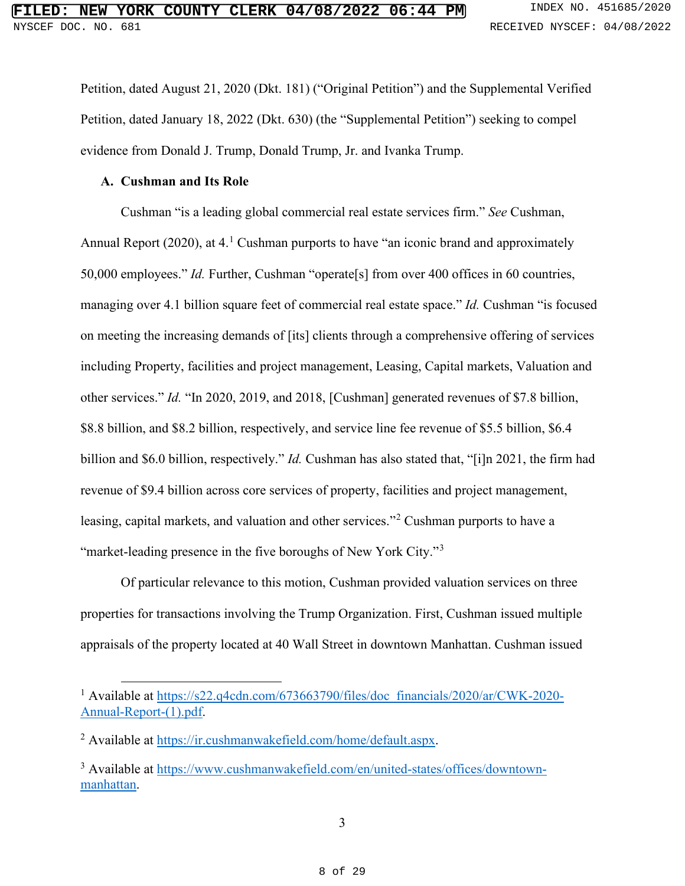Petition, dated August 21, 2020 (Dkt. 181) ("Original Petition") and the Supplemental Verified Petition, dated January 18, 2022 (Dkt. 630) (the "Supplemental Petition") seeking to compel evidence from Donald J. Trump, Donald Trump, Jr. and Ivanka Trump.

#### **A. Cushman and Its Role**

Cushman "is a leading global commercial real estate services firm." *See* Cushman, Annual Report (2020), at  $4.1$  Cushman purports to have "an iconic brand and approximately 50,000 employees." *Id.* Further, Cushman "operate[s] from over 400 offices in 60 countries, managing over 4.1 billion square feet of commercial real estate space." *Id.* Cushman "is focused on meeting the increasing demands of [its] clients through a comprehensive offering of services including Property, facilities and project management, Leasing, Capital markets, Valuation and other services." *Id.* "In 2020, 2019, and 2018, [Cushman] generated revenues of \$7.8 billion, \$8.8 billion, and \$8.2 billion, respectively, and service line fee revenue of \$5.5 billion, \$6.4 billion and \$6.0 billion, respectively." *Id.* Cushman has also stated that, "[i]n 2021, the firm had revenue of \$9.4 billion across core services of property, facilities and project management, leasing, capital markets, and valuation and other services."<sup>2</sup> Cushman purports to have a "market-leading presence in the five boroughs of New York City."<sup>3</sup>

Of particular relevance to this motion, Cushman provided valuation services on three properties for transactions involving the Trump Organization. First, Cushman issued multiple appraisals of the property located at 40 Wall Street in downtown Manhattan. Cushman issued

<sup>1</sup> Available at https://s22.q4cdn.com/673663790/files/doc financials/2020/ar/CWK-2020- Annual-Report-(1).pdf.

<sup>&</sup>lt;sup>2</sup> Available at https://ir.cushmanwakefield.com/home/default.aspx.

<sup>&</sup>lt;sup>3</sup> Available at https://www.cushmanwakefield.com/en/united-states/offices/downtownmanhattan.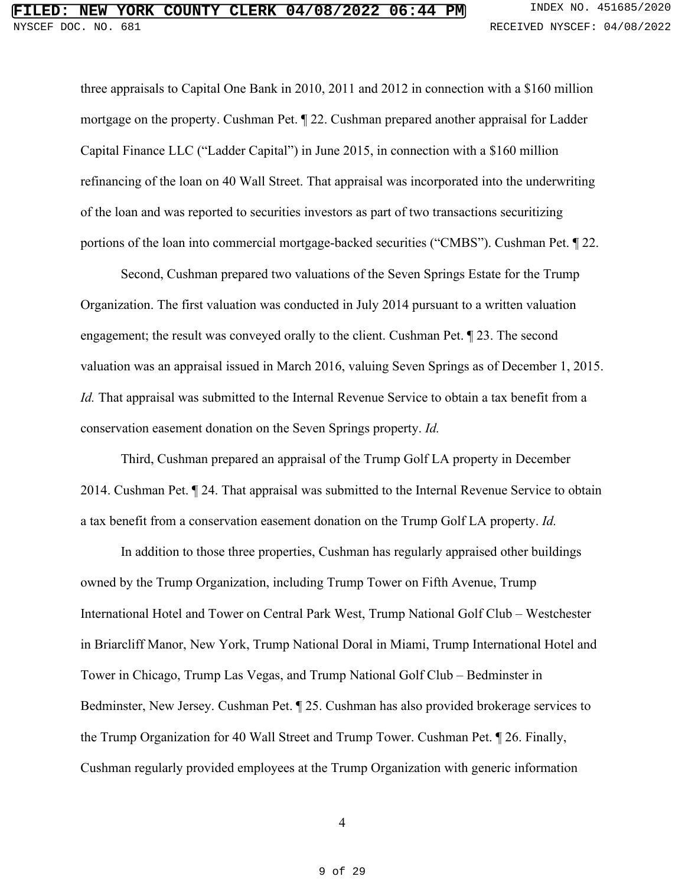three appraisals to Capital One Bank in 2010, 2011 and 2012 in connection with a \$160 million mortgage on the property. Cushman Pet. ¶ 22. Cushman prepared another appraisal for Ladder Capital Finance LLC ("Ladder Capital") in June 2015, in connection with a \$160 million refinancing of the loan on 40 Wall Street. That appraisal was incorporated into the underwriting of the loan and was reported to securities investors as part of two transactions securitizing portions of the loan into commercial mortgage-backed securities ("CMBS"). Cushman Pet. ¶ 22.

Second, Cushman prepared two valuations of the Seven Springs Estate for the Trump Organization. The first valuation was conducted in July 2014 pursuant to a written valuation engagement; the result was conveyed orally to the client. Cushman Pet. ¶ 23. The second valuation was an appraisal issued in March 2016, valuing Seven Springs as of December 1, 2015. *Id.* That appraisal was submitted to the Internal Revenue Service to obtain a tax benefit from a conservation easement donation on the Seven Springs property. *Id.*

Third, Cushman prepared an appraisal of the Trump Golf LA property in December 2014. Cushman Pet. ¶ 24. That appraisal was submitted to the Internal Revenue Service to obtain a tax benefit from a conservation easement donation on the Trump Golf LA property. *Id.*

In addition to those three properties, Cushman has regularly appraised other buildings owned by the Trump Organization, including Trump Tower on Fifth Avenue, Trump International Hotel and Tower on Central Park West, Trump National Golf Club – Westchester in Briarcliff Manor, New York, Trump National Doral in Miami, Trump International Hotel and Tower in Chicago, Trump Las Vegas, and Trump National Golf Club – Bedminster in Bedminster, New Jersey. Cushman Pet. ¶ 25. Cushman has also provided brokerage services to the Trump Organization for 40 Wall Street and Trump Tower. Cushman Pet. ¶ 26. Finally, Cushman regularly provided employees at the Trump Organization with generic information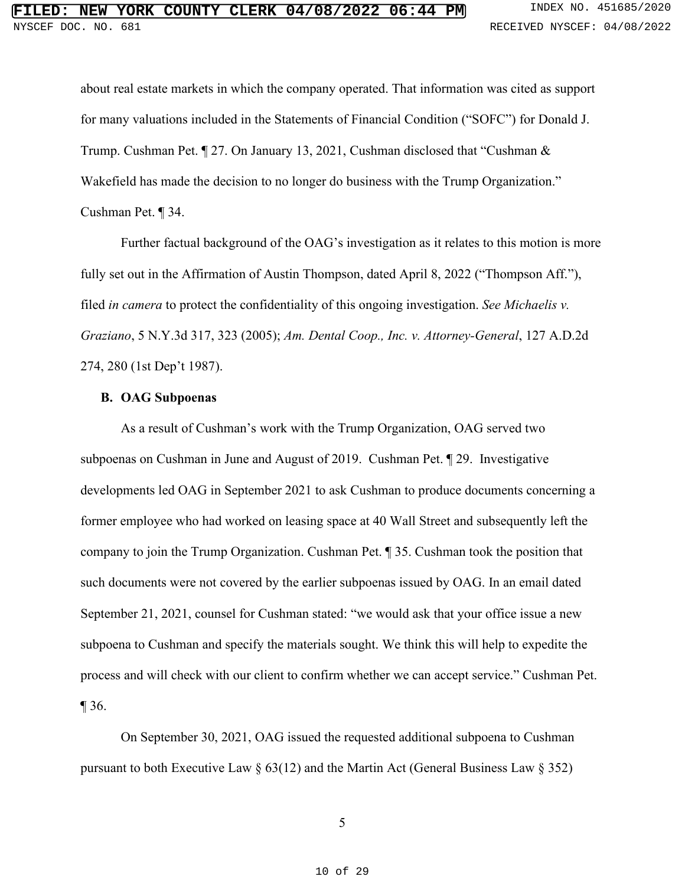about real estate markets in which the company operated. That information was cited as support for many valuations included in the Statements of Financial Condition ("SOFC") for Donald J. Trump. Cushman Pet. ¶ 27. On January 13, 2021, Cushman disclosed that "Cushman & Wakefield has made the decision to no longer do business with the Trump Organization." Cushman Pet. ¶ 34.

Further factual background of the OAG's investigation as it relates to this motion is more fully set out in the Affirmation of Austin Thompson, dated April 8, 2022 ("Thompson Aff."), filed *in camera* to protect the confidentiality of this ongoing investigation. *See Michaelis v. Graziano*, 5 N.Y.3d 317, 323 (2005); *Am. Dental Coop., Inc. v. Attorney-General*, 127 A.D.2d 274, 280 (1st Dep't 1987).

#### **B. OAG Subpoenas**

As a result of Cushman's work with the Trump Organization, OAG served two subpoenas on Cushman in June and August of 2019. Cushman Pet. ¶ 29. Investigative developments led OAG in September 2021 to ask Cushman to produce documents concerning a former employee who had worked on leasing space at 40 Wall Street and subsequently left the company to join the Trump Organization. Cushman Pet. ¶ 35. Cushman took the position that such documents were not covered by the earlier subpoenas issued by OAG. In an email dated September 21, 2021, counsel for Cushman stated: "we would ask that your office issue a new subpoena to Cushman and specify the materials sought. We think this will help to expedite the process and will check with our client to confirm whether we can accept service." Cushman Pet. ¶ 36.

On September 30, 2021, OAG issued the requested additional subpoena to Cushman pursuant to both Executive Law  $\S 63(12)$  and the Martin Act (General Business Law  $\S 352$ )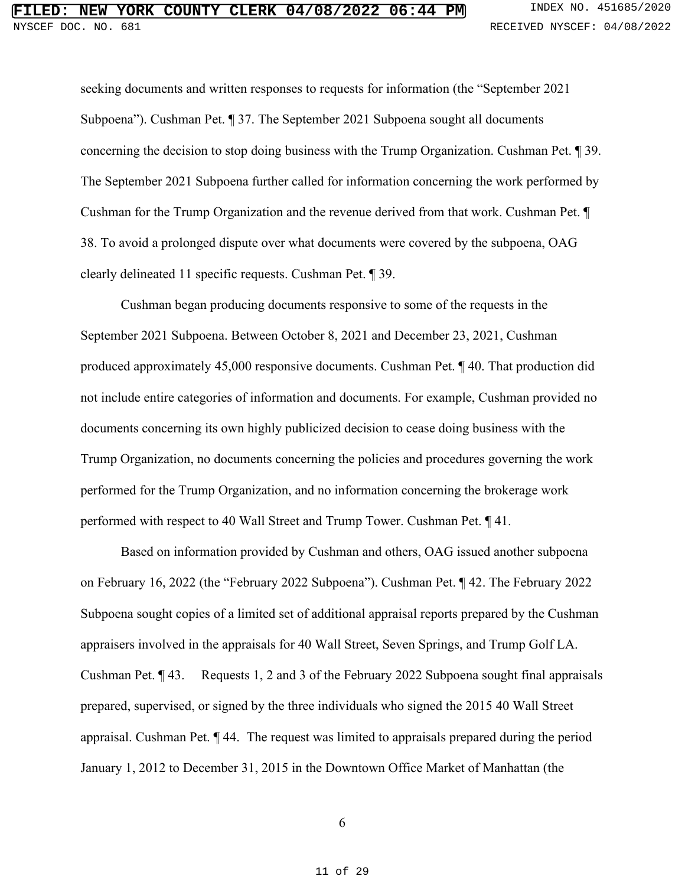### **FIRE COUNTY CLERK 04/08/2022 06:44 PM** INDEX NO. 451685/2020 NYSCEF DOC. NO. 681 **RECEIVED NYSCEF: 04/08/2022**

seeking documents and written responses to requests for information (the "September 2021 Subpoena"). Cushman Pet. ¶ 37. The September 2021 Subpoena sought all documents concerning the decision to stop doing business with the Trump Organization. Cushman Pet. ¶ 39. The September 2021 Subpoena further called for information concerning the work performed by Cushman for the Trump Organization and the revenue derived from that work. Cushman Pet. ¶ 38. To avoid a prolonged dispute over what documents were covered by the subpoena, OAG clearly delineated 11 specific requests. Cushman Pet. ¶ 39.

Cushman began producing documents responsive to some of the requests in the September 2021 Subpoena. Between October 8, 2021 and December 23, 2021, Cushman produced approximately 45,000 responsive documents. Cushman Pet. ¶ 40. That production did not include entire categories of information and documents. For example, Cushman provided no documents concerning its own highly publicized decision to cease doing business with the Trump Organization, no documents concerning the policies and procedures governing the work performed for the Trump Organization, and no information concerning the brokerage work performed with respect to 40 Wall Street and Trump Tower. Cushman Pet. ¶ 41.

Based on information provided by Cushman and others, OAG issued another subpoena on February 16, 2022 (the "February 2022 Subpoena"). Cushman Pet. ¶ 42. The February 2022 Subpoena sought copies of a limited set of additional appraisal reports prepared by the Cushman appraisers involved in the appraisals for 40 Wall Street, Seven Springs, and Trump Golf LA. Cushman Pet. ¶ 43. Requests 1, 2 and 3 of the February 2022 Subpoena sought final appraisals prepared, supervised, or signed by the three individuals who signed the 2015 40 Wall Street appraisal. Cushman Pet. ¶ 44. The request was limited to appraisals prepared during the period January 1, 2012 to December 31, 2015 in the Downtown Office Market of Manhattan (the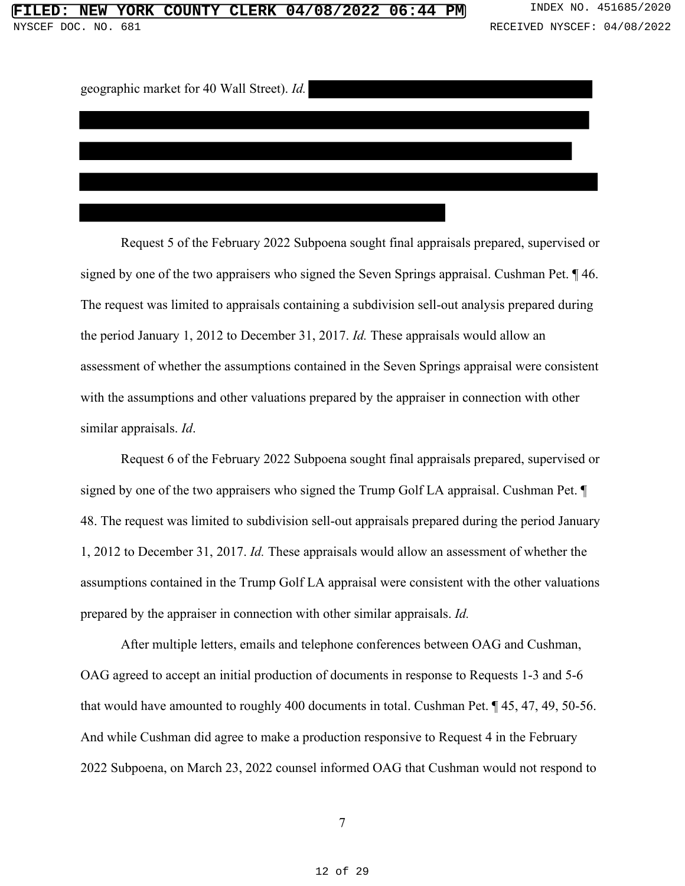# **FIRE COUNTY CLERK 04/08/2022 06:44 PM** INDEX NO. 451685/2020

geographic market for 40 Wall Street). *Id.* 

Request 5 of the February 2022 Subpoena sought final appraisals prepared, supervised or signed by one of the two appraisers who signed the Seven Springs appraisal. Cushman Pet. ¶ 46. The request was limited to appraisals containing a subdivision sell-out analysis prepared during the period January 1, 2012 to December 31, 2017. *Id.* These appraisals would allow an assessment of whether the assumptions contained in the Seven Springs appraisal were consistent with the assumptions and other valuations prepared by the appraiser in connection with other similar appraisals. *Id*.

Request 6 of the February 2022 Subpoena sought final appraisals prepared, supervised or signed by one of the two appraisers who signed the Trump Golf LA appraisal. Cushman Pet. ¶ 48. The request was limited to subdivision sell-out appraisals prepared during the period January 1, 2012 to December 31, 2017. *Id.* These appraisals would allow an assessment of whether the assumptions contained in the Trump Golf LA appraisal were consistent with the other valuations prepared by the appraiser in connection with other similar appraisals. *Id.* 

After multiple letters, emails and telephone conferences between OAG and Cushman, OAG agreed to accept an initial production of documents in response to Requests 1-3 and 5-6 that would have amounted to roughly 400 documents in total. Cushman Pet. ¶ 45, 47, 49, 50-56. And while Cushman did agree to make a production responsive to Request 4 in the February 2022 Subpoena, on March 23, 2022 counsel informed OAG that Cushman would not respond to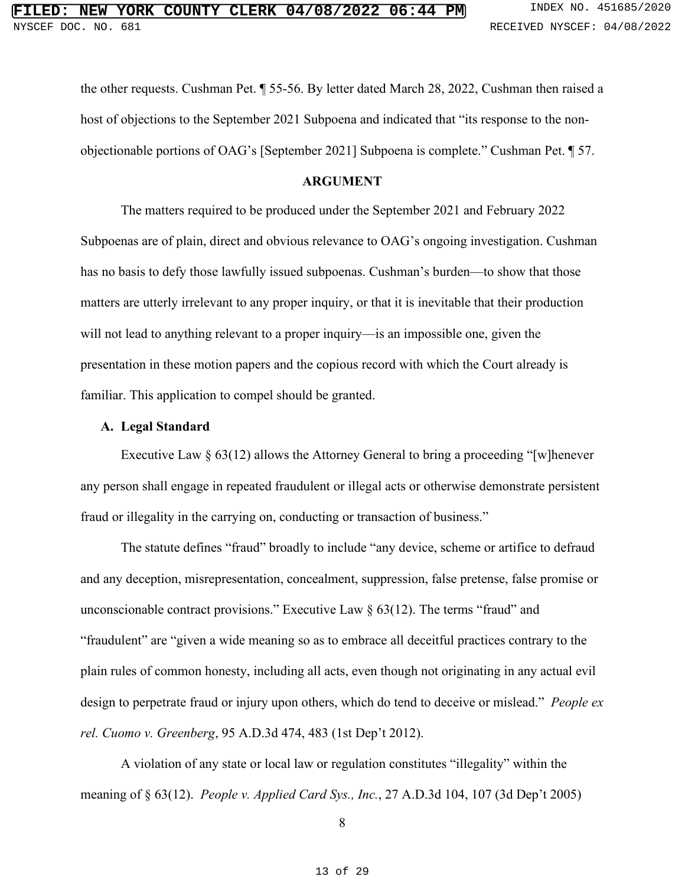the other requests. Cushman Pet. ¶ 55-56. By letter dated March 28, 2022, Cushman then raised a host of objections to the September 2021 Subpoena and indicated that "its response to the nonobjectionable portions of OAG's [September 2021] Subpoena is complete." Cushman Pet. ¶ 57.

#### **ARGUMENT**

The matters required to be produced under the September 2021 and February 2022 Subpoenas are of plain, direct and obvious relevance to OAG's ongoing investigation. Cushman has no basis to defy those lawfully issued subpoenas. Cushman's burden—to show that those matters are utterly irrelevant to any proper inquiry, or that it is inevitable that their production will not lead to anything relevant to a proper inquiry—is an impossible one, given the presentation in these motion papers and the copious record with which the Court already is familiar. This application to compel should be granted.

#### **A. Legal Standard**

Executive Law § 63(12) allows the Attorney General to bring a proceeding "[w]henever any person shall engage in repeated fraudulent or illegal acts or otherwise demonstrate persistent fraud or illegality in the carrying on, conducting or transaction of business."

The statute defines "fraud" broadly to include "any device, scheme or artifice to defraud and any deception, misrepresentation, concealment, suppression, false pretense, false promise or unconscionable contract provisions." Executive Law  $\S$  63(12). The terms "fraud" and "fraudulent" are "given a wide meaning so as to embrace all deceitful practices contrary to the plain rules of common honesty, including all acts, even though not originating in any actual evil design to perpetrate fraud or injury upon others, which do tend to deceive or mislead." *People ex rel. Cuomo v. Greenberg*, 95 A.D.3d 474, 483 (1st Dep't 2012).

A violation of any state or local law or regulation constitutes "illegality" within the meaning of § 63(12). *People v. Applied Card Sys., Inc.*, 27 A.D.3d 104, 107 (3d Dep't 2005)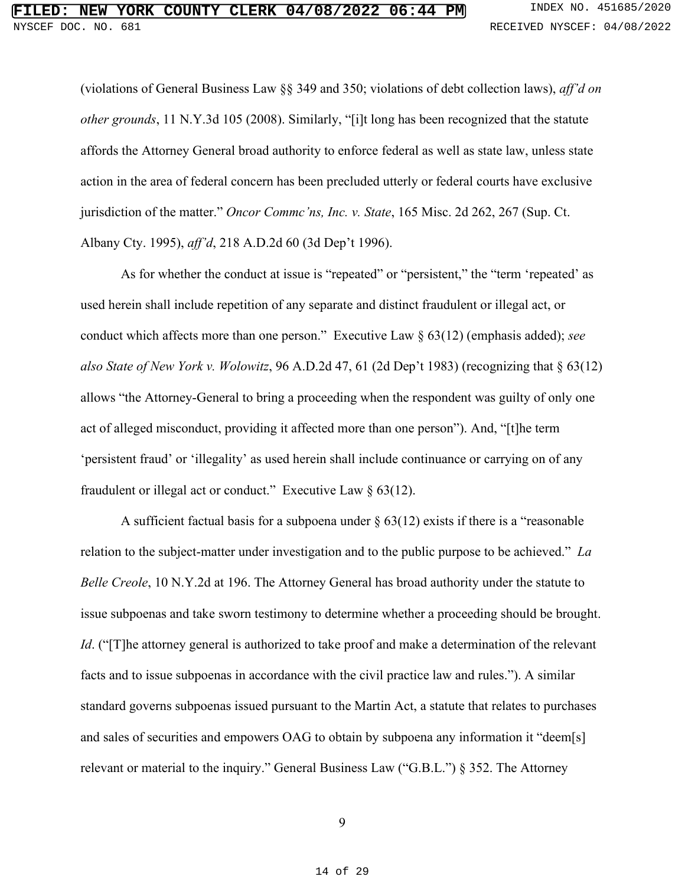(violations of General Business Law §§ 349 and 350; violations of debt collection laws), *aff'd on other grounds*, 11 N.Y.3d 105 (2008). Similarly, "[i]t long has been recognized that the statute affords the Attorney General broad authority to enforce federal as well as state law, unless state action in the area of federal concern has been precluded utterly or federal courts have exclusive jurisdiction of the matter." *Oncor Commc'ns, Inc. v. State*, 165 Misc. 2d 262, 267 (Sup. Ct. Albany Cty. 1995), *aff'd*, 218 A.D.2d 60 (3d Dep't 1996).

As for whether the conduct at issue is "repeated" or "persistent," the "term 'repeated' as used herein shall include repetition of any separate and distinct fraudulent or illegal act, or conduct which affects more than one person." Executive Law § 63(12) (emphasis added); *see also State of New York v. Wolowitz*, 96 A.D.2d 47, 61 (2d Dep't 1983) (recognizing that § 63(12) allows "the Attorney-General to bring a proceeding when the respondent was guilty of only one act of alleged misconduct, providing it affected more than one person"). And, "[t]he term 'persistent fraud' or 'illegality' as used herein shall include continuance or carrying on of any fraudulent or illegal act or conduct." Executive Law  $\S 63(12)$ .

A sufficient factual basis for a subpoena under  $\S$  63(12) exists if there is a "reasonable relation to the subject-matter under investigation and to the public purpose to be achieved." *La Belle Creole*, 10 N.Y.2d at 196. The Attorney General has broad authority under the statute to issue subpoenas and take sworn testimony to determine whether a proceeding should be brought. *Id*. ("[T]he attorney general is authorized to take proof and make a determination of the relevant facts and to issue subpoenas in accordance with the civil practice law and rules."). A similar standard governs subpoenas issued pursuant to the Martin Act, a statute that relates to purchases and sales of securities and empowers OAG to obtain by subpoena any information it "deem[s] relevant or material to the inquiry." General Business Law ("G.B.L.") § 352. The Attorney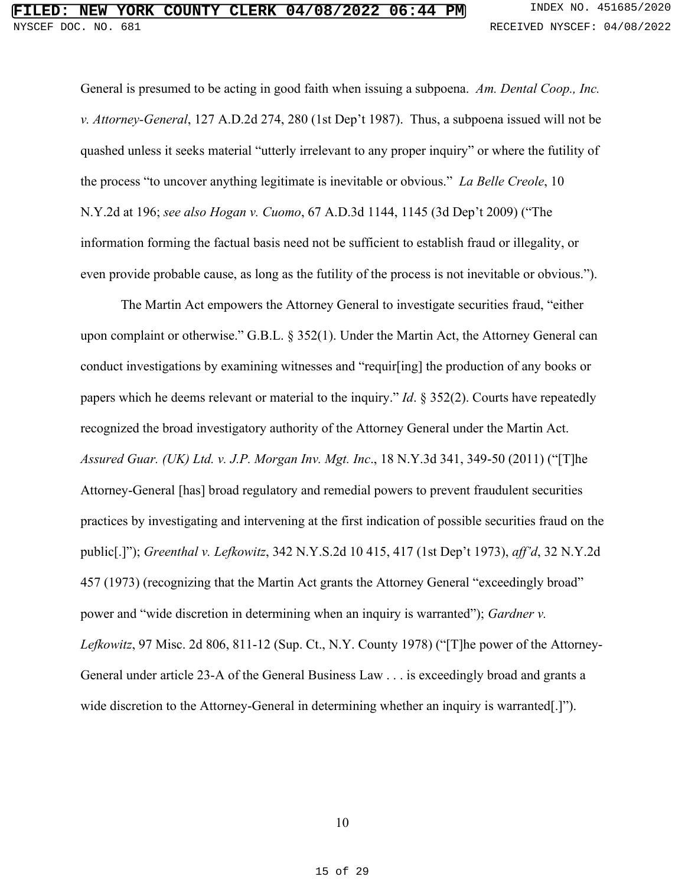General is presumed to be acting in good faith when issuing a subpoena. *Am. Dental Coop., Inc. v. Attorney-General*, 127 A.D.2d 274, 280 (1st Dep't 1987). Thus, a subpoena issued will not be quashed unless it seeks material "utterly irrelevant to any proper inquiry" or where the futility of the process "to uncover anything legitimate is inevitable or obvious." *La Belle Creole*, 10 N.Y.2d at 196; *see also Hogan v. Cuomo*, 67 A.D.3d 1144, 1145 (3d Dep't 2009) ("The information forming the factual basis need not be sufficient to establish fraud or illegality, or even provide probable cause, as long as the futility of the process is not inevitable or obvious.").

The Martin Act empowers the Attorney General to investigate securities fraud, "either upon complaint or otherwise." G.B.L. § 352(1). Under the Martin Act, the Attorney General can conduct investigations by examining witnesses and "requir[ing] the production of any books or papers which he deems relevant or material to the inquiry." *Id*. § 352(2). Courts have repeatedly recognized the broad investigatory authority of the Attorney General under the Martin Act. *Assured Guar. (UK) Ltd. v. J.P. Morgan Inv. Mgt. Inc*., 18 N.Y.3d 341, 349-50 (2011) ("[T]he Attorney-General [has] broad regulatory and remedial powers to prevent fraudulent securities practices by investigating and intervening at the first indication of possible securities fraud on the public[.]"); *Greenthal v. Lefkowitz*, 342 N.Y.S.2d 10 415, 417 (1st Dep't 1973), *aff'd*, 32 N.Y.2d 457 (1973) (recognizing that the Martin Act grants the Attorney General "exceedingly broad" power and "wide discretion in determining when an inquiry is warranted"); *Gardner v. Lefkowitz*, 97 Misc. 2d 806, 811-12 (Sup. Ct., N.Y. County 1978) ("[T]he power of the Attorney-General under article 23-A of the General Business Law . . . is exceedingly broad and grants a wide discretion to the Attorney-General in determining whether an inquiry is warranted.]").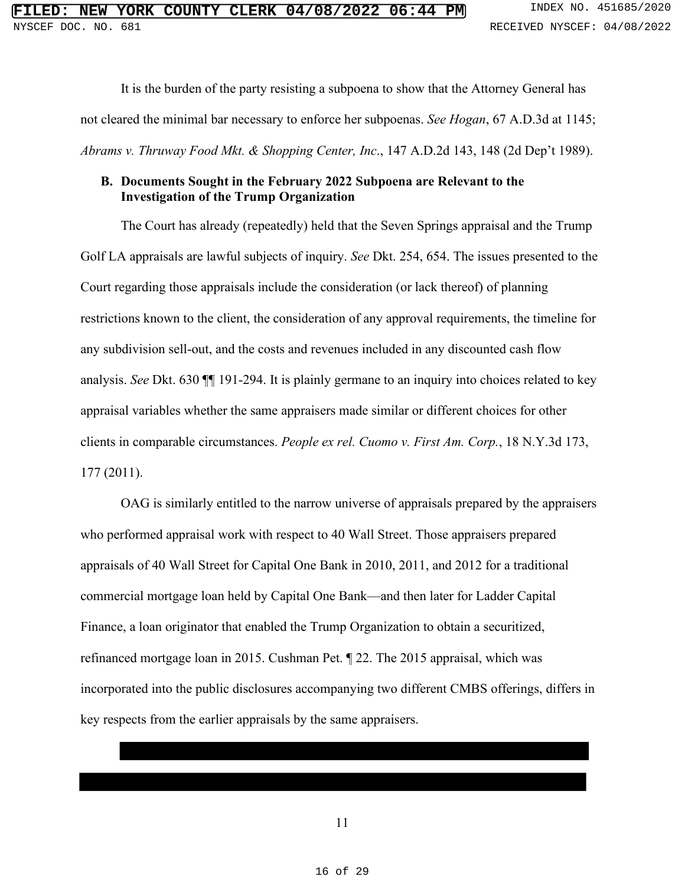It is the burden of the party resisting a subpoena to show that the Attorney General has not cleared the minimal bar necessary to enforce her subpoenas. *See Hogan*, 67 A.D.3d at 1145; *Abrams v. Thruway Food Mkt. & Shopping Center, Inc*., 147 A.D.2d 143, 148 (2d Dep't 1989).

### **B. Documents Sought in the February 2022 Subpoena are Relevant to the Investigation of the Trump Organization**

The Court has already (repeatedly) held that the Seven Springs appraisal and the Trump Golf LA appraisals are lawful subjects of inquiry. *See* Dkt. 254, 654. The issues presented to the Court regarding those appraisals include the consideration (or lack thereof) of planning restrictions known to the client, the consideration of any approval requirements, the timeline for any subdivision sell-out, and the costs and revenues included in any discounted cash flow analysis. *See* Dkt. 630 ¶¶ 191-294. It is plainly germane to an inquiry into choices related to key appraisal variables whether the same appraisers made similar or different choices for other clients in comparable circumstances. *People ex rel. Cuomo v. First Am. Corp.*, 18 N.Y.3d 173, 177 (2011).

OAG is similarly entitled to the narrow universe of appraisals prepared by the appraisers who performed appraisal work with respect to 40 Wall Street. Those appraisers prepared appraisals of 40 Wall Street for Capital One Bank in 2010, 2011, and 2012 for a traditional commercial mortgage loan held by Capital One Bank—and then later for Ladder Capital Finance, a loan originator that enabled the Trump Organization to obtain a securitized, refinanced mortgage loan in 2015. Cushman Pet. ¶ 22. The 2015 appraisal, which was incorporated into the public disclosures accompanying two different CMBS offerings, differs in key respects from the earlier appraisals by the same appraisers.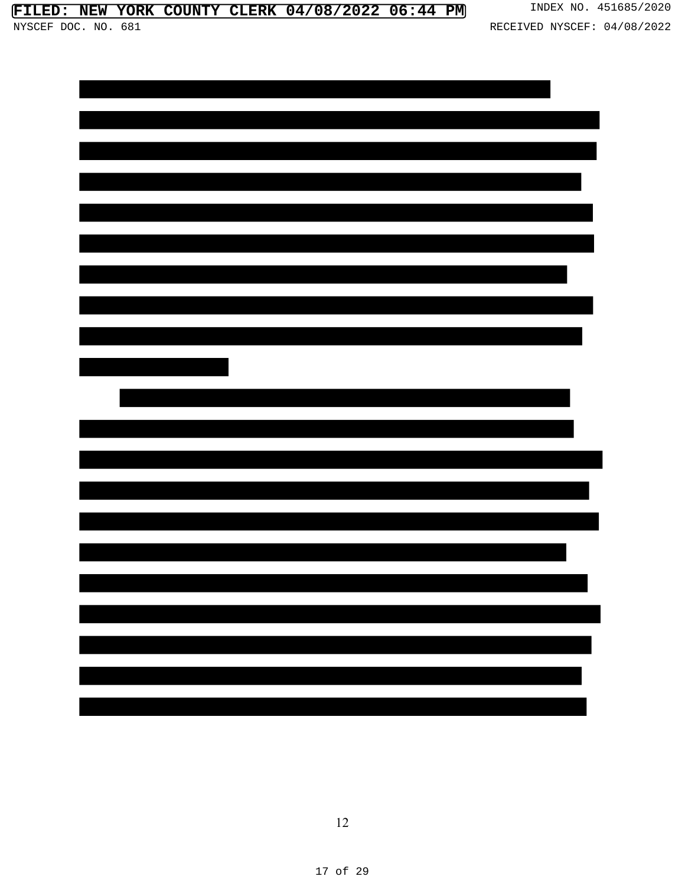# **FILED: NEW YORK COUNTY CLERK 04/08/2022 06:44 PM** INDEX NO. 451685/2020<br>NYSCEF DOC. NO. 681<br>RECEIVED NYSCEF: 04/08/2022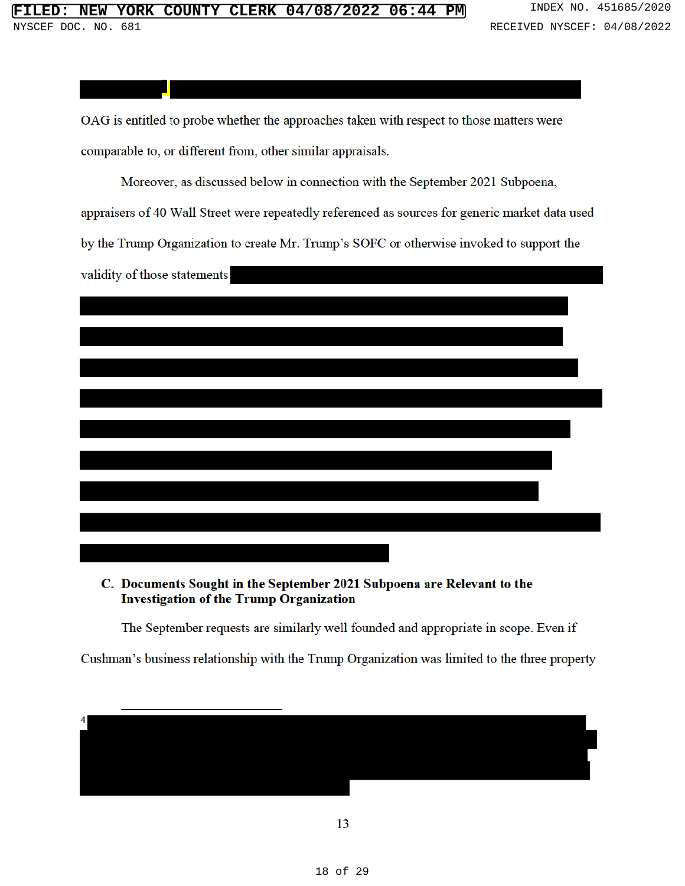OAG is entitled to probe whether the approaches taken with respect to those matters were comparable to, or different from, other similar appraisals.

Moreover, as discussed below in connection with the September 2021 Subpoena,

appraisers of 40 Wall Street were repeatedly referenced as sources for generic market data used

by the Trump Organization to create Mr. Trump's SOFC or otherwise invoked to support the

validity of those statements

#### C. Documents Sought in the September 2021 Subpoena are Relevant to the **Investigation of the Trump Organization**

The September requests are similarly well founded and appropriate in scope. Even if

Cushman's business relationship with the Trump Organization was limited to the three property

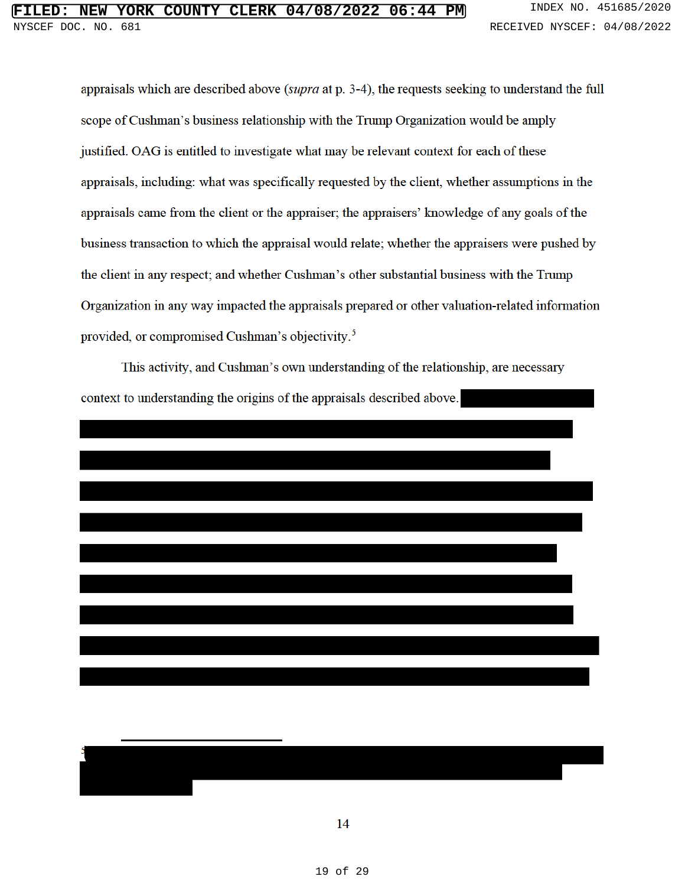appraisals which are described above (supra at p. 3-4), the requests seeking to understand the full scope of Cushman's business relationship with the Trump Organization would be amply justified. OAG is entitled to investigate what may be relevant context for each of these appraisals, including: what was specifically requested by the client, whether assumptions in the appraisals came from the client or the appraiser; the appraisers' knowledge of any goals of the business transaction to which the appraisal would relate; whether the appraisers were pushed by the client in any respect; and whether Cushman's other substantial business with the Trump Organization in any way impacted the appraisals prepared or other valuation-related information provided, or compromised Cushman's objectivity.<sup>5</sup>

This activity, and Cushman's own understanding of the relationship, are necessary context to understanding the origins of the appraisals described above.



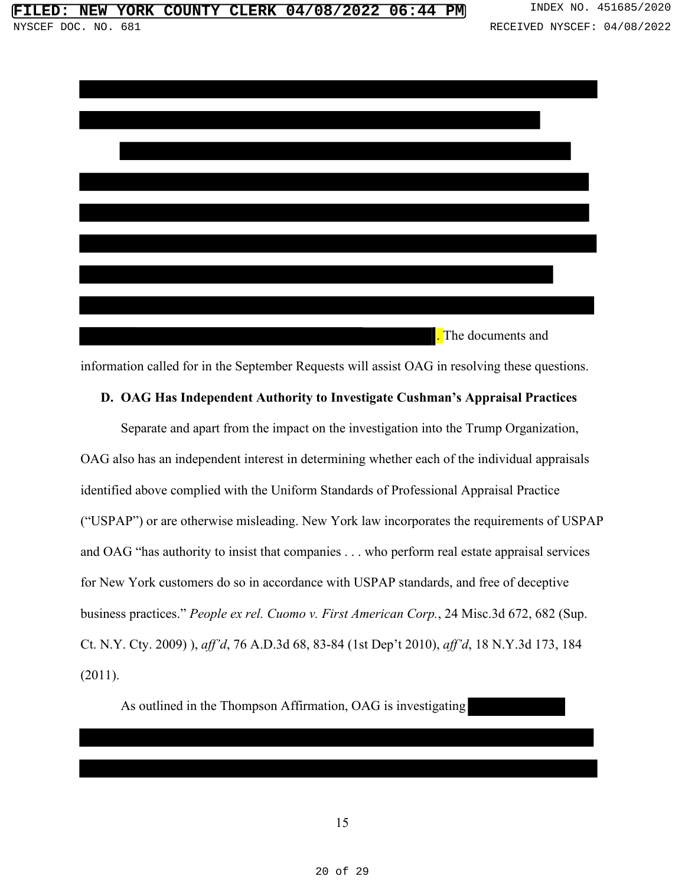

information called for in the September Requests will assist OAG in resolving these questions.

#### **D. OAG Has Independent Authority to Investigate Cushman's Appraisal Practices**

Separate and apart from the impact on the investigation into the Trump Organization, OAG also has an independent interest in determining whether each of the individual appraisals identified above complied with the Uniform Standards of Professional Appraisal Practice ("USPAP") or are otherwise misleading. New York law incorporates the requirements of USPAP and OAG "has authority to insist that companies . . . who perform real estate appraisal services for New York customers do so in accordance with USPAP standards, and free of deceptive business practices." *People ex rel. Cuomo v. First American Corp.*, 24 Misc.3d 672, 682 (Sup. Ct. N.Y. Cty. 2009) ), *aff'd*, 76 A.D.3d 68, 83-84 (1st Dep't 2010), *aff'd*, 18 N.Y.3d 173, 184 (2011).

As outlined in the Thompson Affirmation, OAG is investigating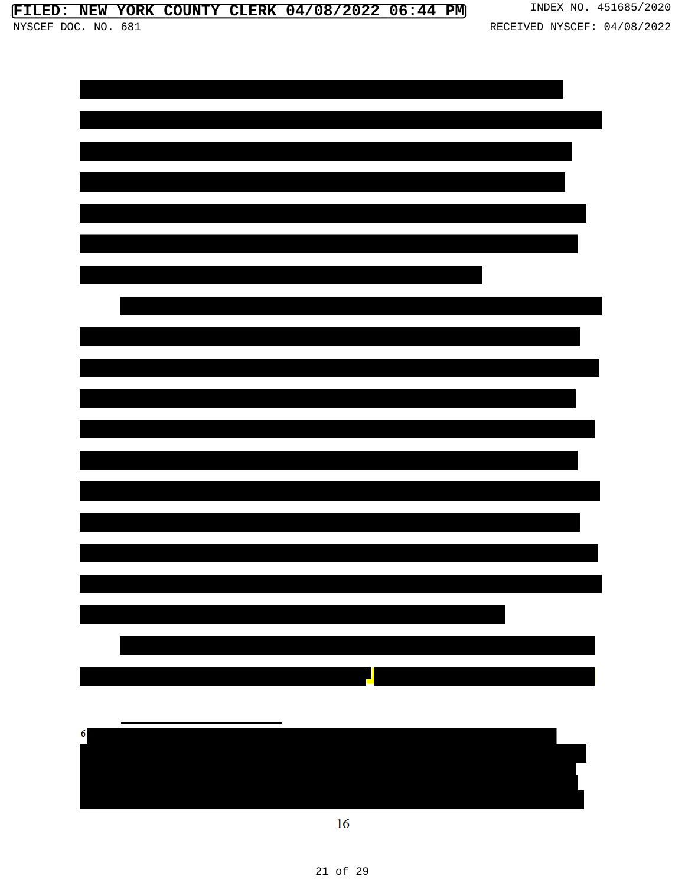# **FILED: NEW YORK COUNTY CLERK 04/08/2022 06:44 PM** INDEX NO. 451685/2020

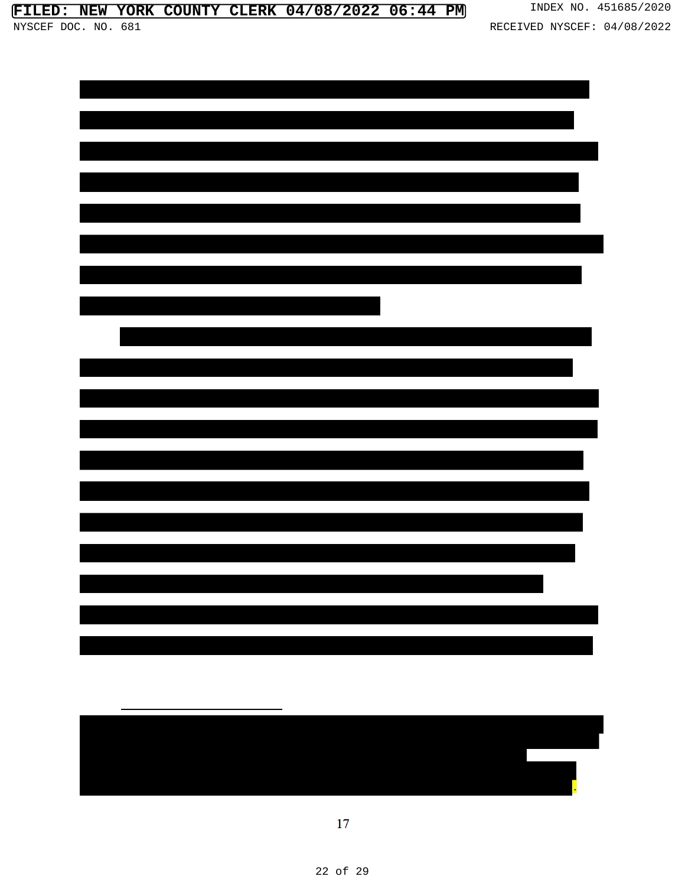# **FILED: NEW YORK COUNTY CLERK 04/08/2022 06:44 PM** INDEX NO. 451685/2020<br>NYSCEF DOC. NO. 681<br>RECEIVED NYSCEF: 04/08/2022

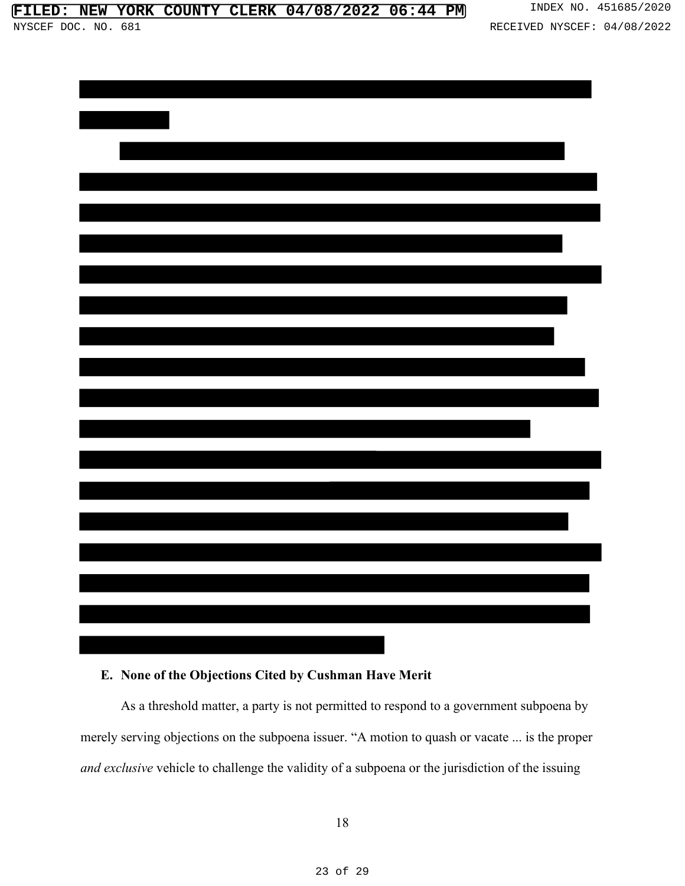# **FILED: NEW YORK COUNTY CLERK 04/08/2022 06:44 PM** INDEX NO. 451685/2020

# **E. None of the Objections Cited by Cushman Have Merit**

As a threshold matter, a party is not permitted to respond to a government subpoena by merely serving objections on the subpoena issuer. "A motion to quash or vacate ... is the proper *and exclusive* vehicle to challenge the validity of a subpoena or the jurisdiction of the issuing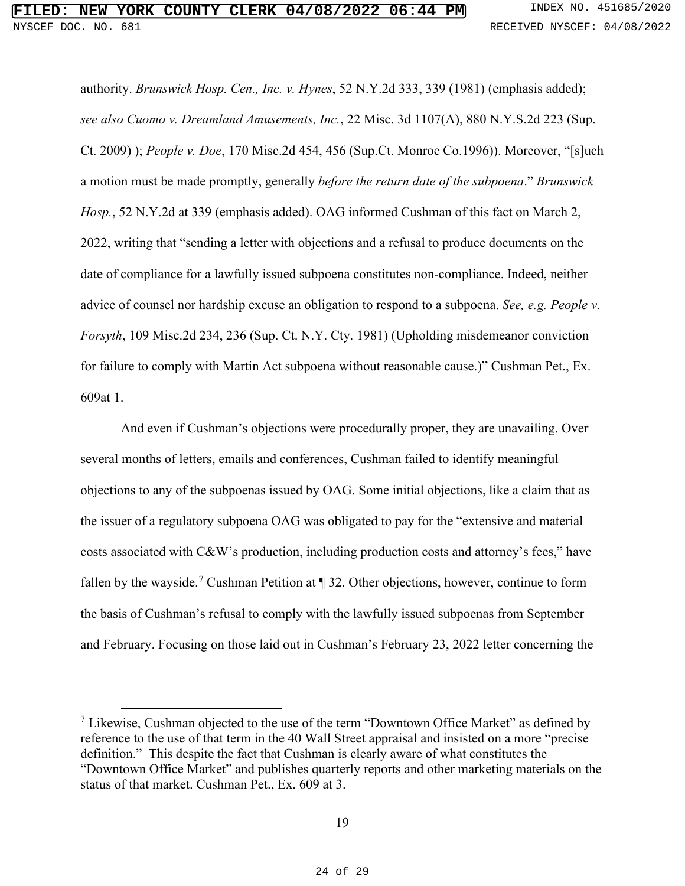# **NEW YORK COUNTY CLERK 04/08/2022 06:44 PM** INDEX NO. 451685/2020 NYSCEF DOC. NO. 681 **RECEIVED NYSCEF: 04/08/2022**

authority. *Brunswick Hosp. Cen., Inc. v. Hynes*, 52 N.Y.2d 333, 339 (1981) (emphasis added); *see also Cuomo v. Dreamland Amusements, Inc.*, 22 Misc. 3d 1107(A), 880 N.Y.S.2d 223 (Sup. Ct. 2009) ); *People v. Doe*, 170 Misc.2d 454, 456 (Sup.Ct. Monroe Co.1996)). Moreover, "[s]uch a motion must be made promptly, generally *before the return date of the subpoena*." *Brunswick Hosp.*, 52 N.Y.2d at 339 (emphasis added). OAG informed Cushman of this fact on March 2, 2022, writing that "sending a letter with objections and a refusal to produce documents on the date of compliance for a lawfully issued subpoena constitutes non-compliance. Indeed, neither advice of counsel nor hardship excuse an obligation to respond to a subpoena. *See, e.g. People v. Forsyth*, 109 Misc.2d 234, 236 (Sup. Ct. N.Y. Cty. 1981) (Upholding misdemeanor conviction for failure to comply with Martin Act subpoena without reasonable cause.)" Cushman Pet., Ex. 609at 1.

And even if Cushman's objections were procedurally proper, they are unavailing. Over several months of letters, emails and conferences, Cushman failed to identify meaningful objections to any of the subpoenas issued by OAG. Some initial objections, like a claim that as the issuer of a regulatory subpoena OAG was obligated to pay for the "extensive and material costs associated with C&W's production, including production costs and attorney's fees," have fallen by the wayside.<sup>7</sup> Cushman Petition at  $\P$  32. Other objections, however, continue to form the basis of Cushman's refusal to comply with the lawfully issued subpoenas from September and February. Focusing on those laid out in Cushman's February 23, 2022 letter concerning the

 $\frac{7}{7}$  Likewise, Cushman objected to the use of the term "Downtown Office Market" as defined by reference to the use of that term in the 40 Wall Street appraisal and insisted on a more "precise definition." This despite the fact that Cushman is clearly aware of what constitutes the "Downtown Office Market" and publishes quarterly reports and other marketing materials on the status of that market. Cushman Pet., Ex. 609 at 3.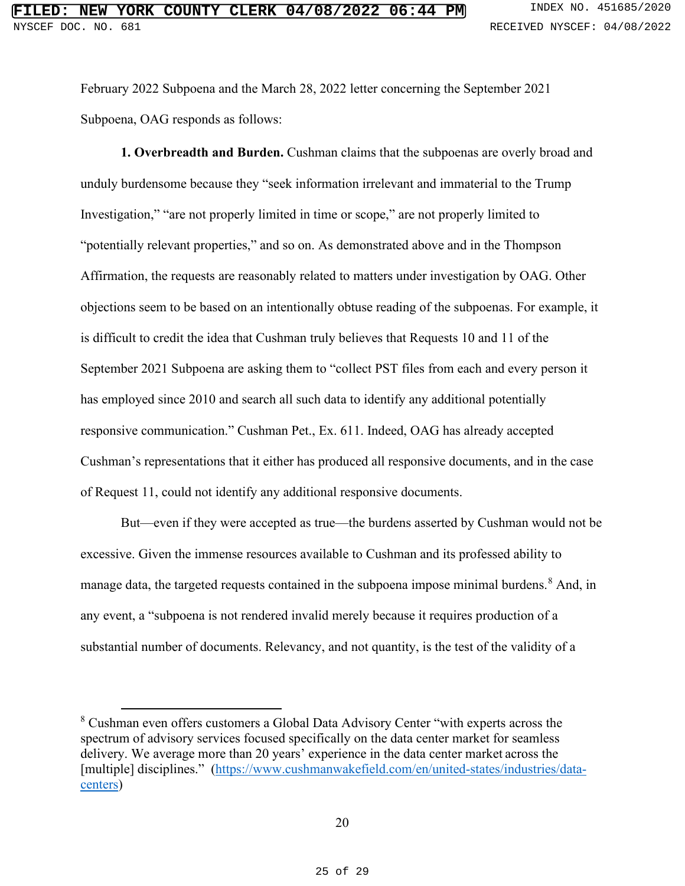February 2022 Subpoena and the March 28, 2022 letter concerning the September 2021 Subpoena, OAG responds as follows:

**1. Overbreadth and Burden.** Cushman claims that the subpoenas are overly broad and unduly burdensome because they "seek information irrelevant and immaterial to the Trump Investigation," "are not properly limited in time or scope," are not properly limited to "potentially relevant properties," and so on. As demonstrated above and in the Thompson Affirmation, the requests are reasonably related to matters under investigation by OAG. Other objections seem to be based on an intentionally obtuse reading of the subpoenas. For example, it is difficult to credit the idea that Cushman truly believes that Requests 10 and 11 of the September 2021 Subpoena are asking them to "collect PST files from each and every person it has employed since 2010 and search all such data to identify any additional potentially responsive communication." Cushman Pet., Ex. 611. Indeed, OAG has already accepted Cushman's representations that it either has produced all responsive documents, and in the case of Request 11, could not identify any additional responsive documents.

But—even if they were accepted as true—the burdens asserted by Cushman would not be excessive. Given the immense resources available to Cushman and its professed ability to manage data, the targeted requests contained in the subpoena impose minimal burdens.<sup>8</sup> And, in any event, a "subpoena is not rendered invalid merely because it requires production of a substantial number of documents. Relevancy, and not quantity, is the test of the validity of a

<sup>8</sup> Cushman even offers customers a Global Data Advisory Center "with experts across the spectrum of advisory services focused specifically on the data center market for seamless delivery. We average more than 20 years' experience in the data center market across the [multiple] disciplines." (https://www.cushmanwakefield.com/en/united-states/industries/datacenters)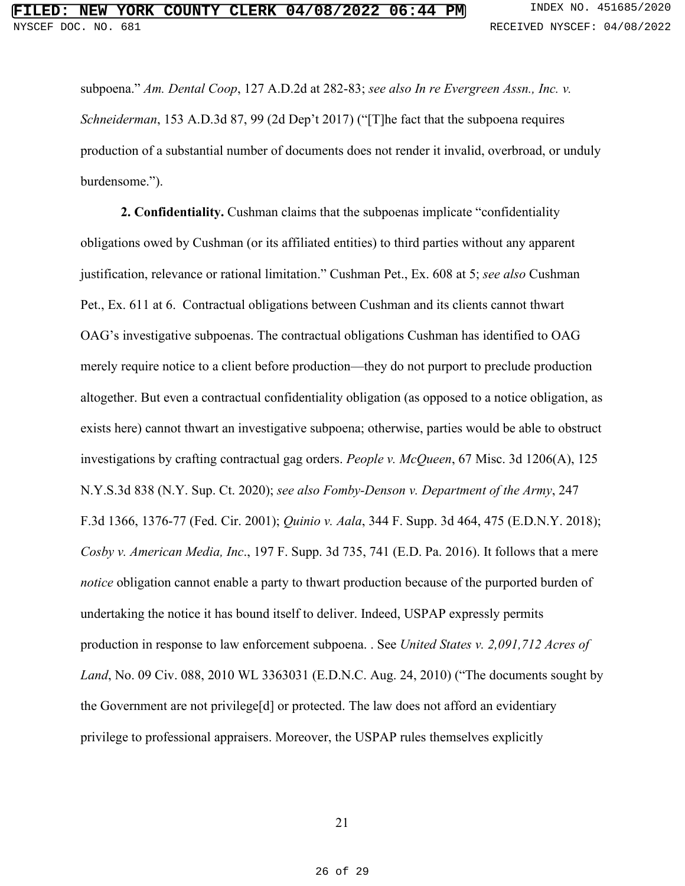subpoena." *Am. Dental Coop*, 127 A.D.2d at 282-83; *see also In re Evergreen Assn., Inc. v. Schneiderman*, 153 A.D.3d 87, 99 (2d Dep't 2017) ("[T]he fact that the subpoena requires production of a substantial number of documents does not render it invalid, overbroad, or unduly burdensome.").

**2. Confidentiality.** Cushman claims that the subpoenas implicate "confidentiality obligations owed by Cushman (or its affiliated entities) to third parties without any apparent justification, relevance or rational limitation." Cushman Pet., Ex. 608 at 5; *see also* Cushman Pet., Ex. 611 at 6. Contractual obligations between Cushman and its clients cannot thwart OAG's investigative subpoenas. The contractual obligations Cushman has identified to OAG merely require notice to a client before production—they do not purport to preclude production altogether. But even a contractual confidentiality obligation (as opposed to a notice obligation, as exists here) cannot thwart an investigative subpoena; otherwise, parties would be able to obstruct investigations by crafting contractual gag orders. *People v. McQueen*, 67 Misc. 3d 1206(A), 125 N.Y.S.3d 838 (N.Y. Sup. Ct. 2020); *see also Fomby-Denson v. Department of the Army*, 247 F.3d 1366, 1376-77 (Fed. Cir. 2001); *Quinio v. Aala*, 344 F. Supp. 3d 464, 475 (E.D.N.Y. 2018); *Cosby v. American Media, Inc*., 197 F. Supp. 3d 735, 741 (E.D. Pa. 2016). It follows that a mere *notice* obligation cannot enable a party to thwart production because of the purported burden of undertaking the notice it has bound itself to deliver. Indeed, USPAP expressly permits production in response to law enforcement subpoena. . See *United States v. 2,091,712 Acres of Land*, No. 09 Civ. 088, 2010 WL 3363031 (E.D.N.C. Aug. 24, 2010) ("The documents sought by the Government are not privilege[d] or protected. The law does not afford an evidentiary privilege to professional appraisers. Moreover, the USPAP rules themselves explicitly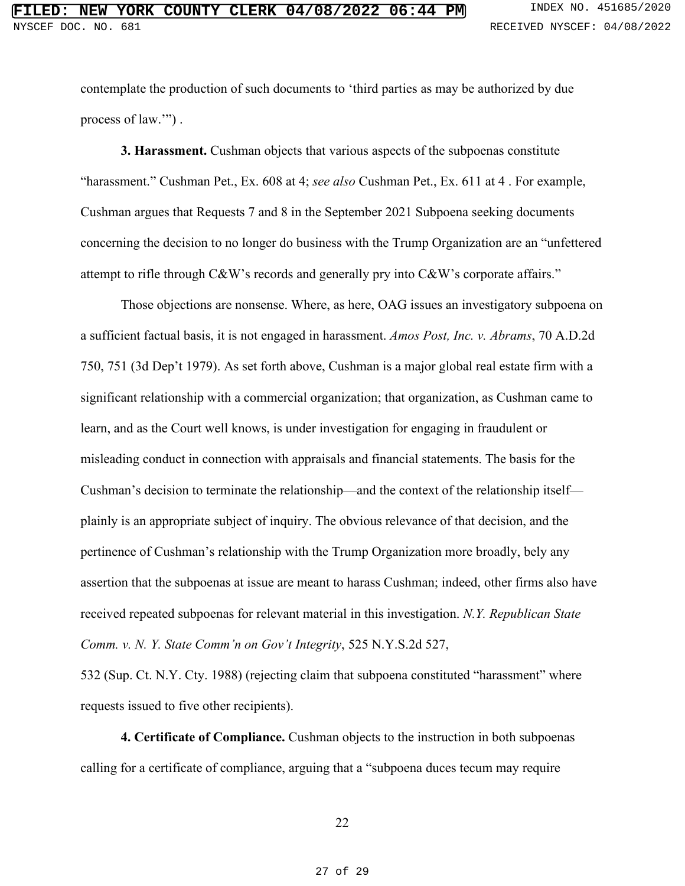contemplate the production of such documents to 'third parties as may be authorized by due process of law."").

**3. Harassment.** Cushman objects that various aspects of the subpoenas constitute "harassment." Cushman Pet., Ex. 608 at 4; *see also* Cushman Pet., Ex. 611 at 4 . For example, Cushman argues that Requests 7 and 8 in the September 2021 Subpoena seeking documents concerning the decision to no longer do business with the Trump Organization are an "unfettered attempt to rifle through C&W's records and generally pry into C&W's corporate affairs."

Those objections are nonsense. Where, as here, OAG issues an investigatory subpoena on a sufficient factual basis, it is not engaged in harassment. *Amos Post, Inc. v. Abrams*, 70 A.D.2d 750, 751 (3d Dep't 1979). As set forth above, Cushman is a major global real estate firm with a significant relationship with a commercial organization; that organization, as Cushman came to learn, and as the Court well knows, is under investigation for engaging in fraudulent or misleading conduct in connection with appraisals and financial statements. The basis for the Cushman's decision to terminate the relationship—and the context of the relationship itself plainly is an appropriate subject of inquiry. The obvious relevance of that decision, and the pertinence of Cushman's relationship with the Trump Organization more broadly, bely any assertion that the subpoenas at issue are meant to harass Cushman; indeed, other firms also have received repeated subpoenas for relevant material in this investigation. *N.Y. Republican State Comm. v. N. Y. State Comm'n on Gov't Integrity*, 525 N.Y.S.2d 527,

532 (Sup. Ct. N.Y. Cty. 1988) (rejecting claim that subpoena constituted "harassment" where requests issued to five other recipients).

**4. Certificate of Compliance.** Cushman objects to the instruction in both subpoenas calling for a certificate of compliance, arguing that a "subpoena duces tecum may require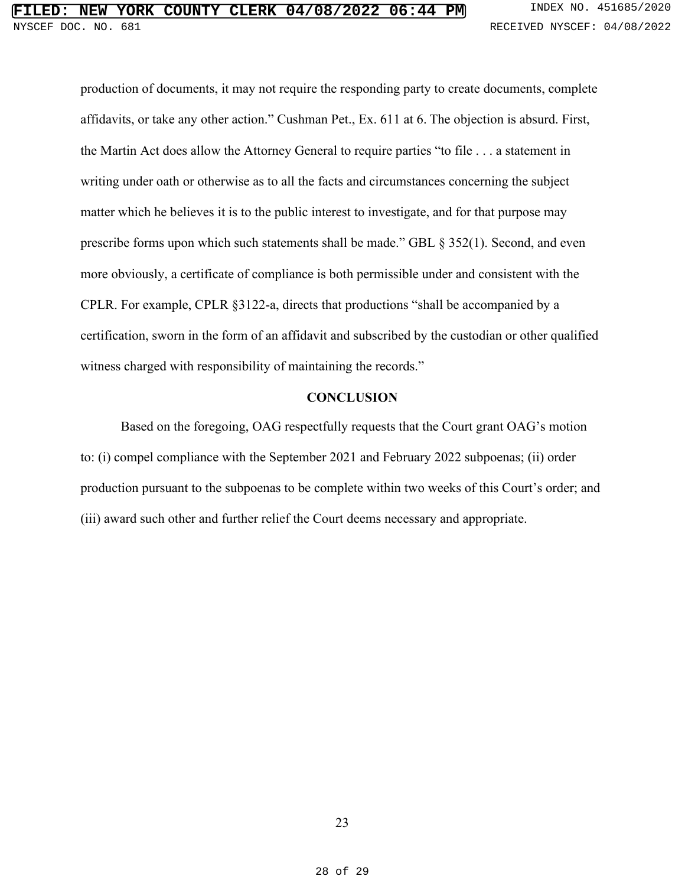# **FORK COUNTY CLERK 04/08/2022 06:44 PM** INDEX NO. 451685/2020 NYSCEF DOC. NO. 681 **RECEIVED NYSCEF: 04/08/2022**

production of documents, it may not require the responding party to create documents, complete affidavits, or take any other action." Cushman Pet., Ex. 611 at 6. The objection is absurd. First, the Martin Act does allow the Attorney General to require parties "to file . . . a statement in writing under oath or otherwise as to all the facts and circumstances concerning the subject matter which he believes it is to the public interest to investigate, and for that purpose may prescribe forms upon which such statements shall be made." GBL § 352(1). Second, and even more obviously, a certificate of compliance is both permissible under and consistent with the CPLR. For example, CPLR §3122-a, directs that productions "shall be accompanied by a certification, sworn in the form of an affidavit and subscribed by the custodian or other qualified witness charged with responsibility of maintaining the records."

#### **CONCLUSION**

Based on the foregoing, OAG respectfully requests that the Court grant OAG's motion to: (i) compel compliance with the September 2021 and February 2022 subpoenas; (ii) order production pursuant to the subpoenas to be complete within two weeks of this Court's order; and (iii) award such other and further relief the Court deems necessary and appropriate.